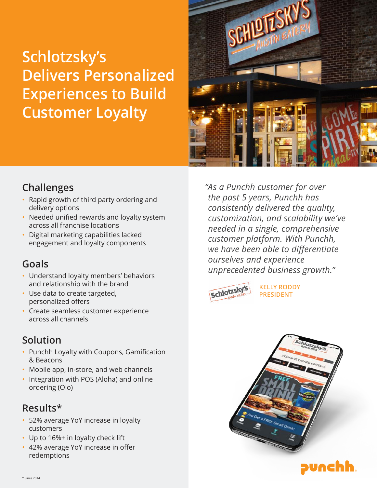# **Schlotzsky's Delivers Personalized Experiences to Build Customer Loyalty**



### **Challenges**

- Rapid growth of third party ordering and delivery options
- Needed unified rewards and loyalty system across all franchise locations
- Digital marketing capabilities lacked engagement and loyalty components

## **Goals**

- Understand loyalty members' behaviors and relationship with the brand
- Use data to create targeted, personalized offers
- Create seamless customer experience across all channels

## **Solution**

- Punchh Loyalty with Coupons, Gamification & Beacons
- Mobile app, in-store, and web channels
- Integration with POS (Aloha) and online ordering (Olo)

### **Results\***

- 52% average YoY increase in loyalty customers
- Up to  $16\%$ + in loyalty check lift
- 42% average YoY increase in offer redemptions

*"As a Punchh customer for over the past 5 years, Punchh has consistently delivered the quality, customization, and scalability we've needed in a single, comprehensive customer platform. With Punchh, we have been able to differentiate ourselves and experience unprecedented business growth."*



**KELLY RODDY PRESIDENT**